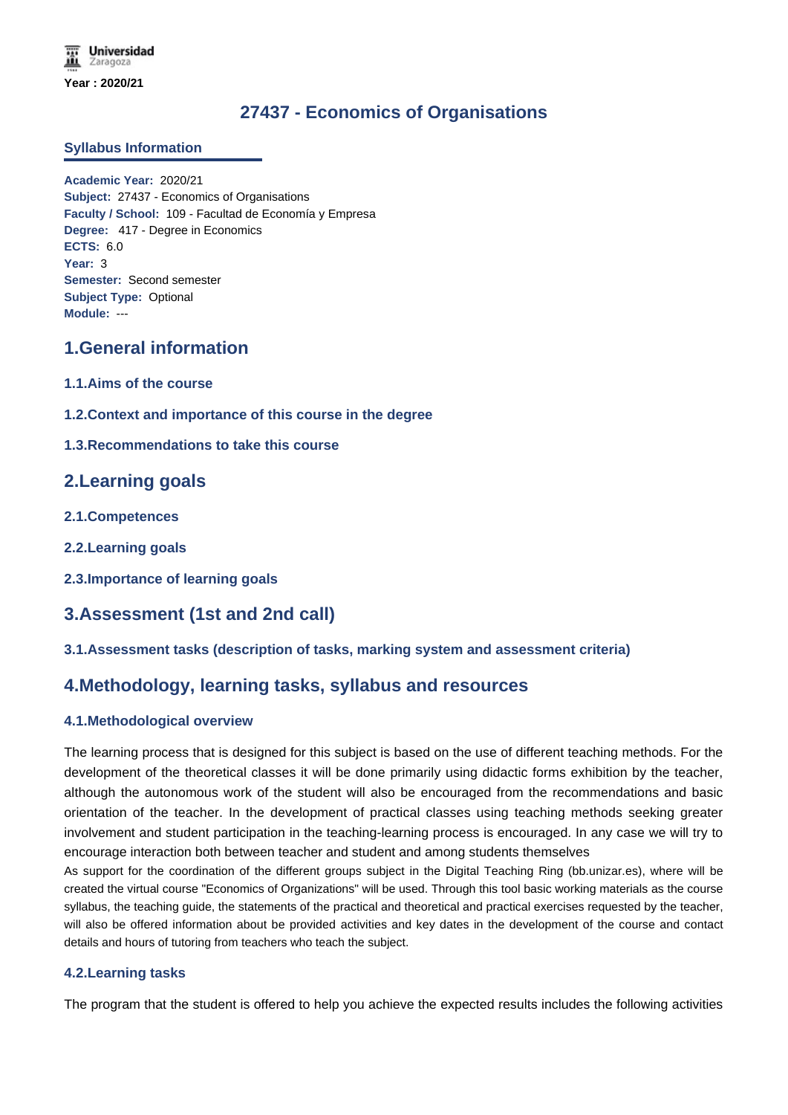# **27437 - Economics of Organisations**

### **Syllabus Information**

**Academic Year:** 2020/21 **Subject:** 27437 - Economics of Organisations **Faculty / School:** 109 - Facultad de Economía y Empresa **Degree:** 417 - Degree in Economics **ECTS:** 6.0 **Year:** 3 **Semester:** Second semester **Subject Type:** Optional **Module:** ---

# **1.General information**

- **1.1.Aims of the course**
- **1.2.Context and importance of this course in the degree**
- **1.3.Recommendations to take this course**

# **2.Learning goals**

- **2.1.Competences**
- **2.2.Learning goals**
- **2.3.Importance of learning goals**

# **3.Assessment (1st and 2nd call)**

# **3.1.Assessment tasks (description of tasks, marking system and assessment criteria)**

# **4.Methodology, learning tasks, syllabus and resources**

# **4.1.Methodological overview**

The learning process that is designed for this subject is based on the use of different teaching methods. For the development of the theoretical classes it will be done primarily using didactic forms exhibition by the teacher, although the autonomous work of the student will also be encouraged from the recommendations and basic orientation of the teacher. In the development of practical classes using teaching methods seeking greater involvement and student participation in the teaching-learning process is encouraged. In any case we will try to encourage interaction both between teacher and student and among students themselves

As support for the coordination of the different groups subject in the Digital Teaching Ring (bb.unizar.es), where will be created the virtual course "Economics of Organizations" will be used. Through this tool basic working materials as the course syllabus, the teaching guide, the statements of the practical and theoretical and practical exercises requested by the teacher, will also be offered information about be provided activities and key dates in the development of the course and contact details and hours of tutoring from teachers who teach the subject.

### **4.2.Learning tasks**

The program that the student is offered to help you achieve the expected results includes the following activities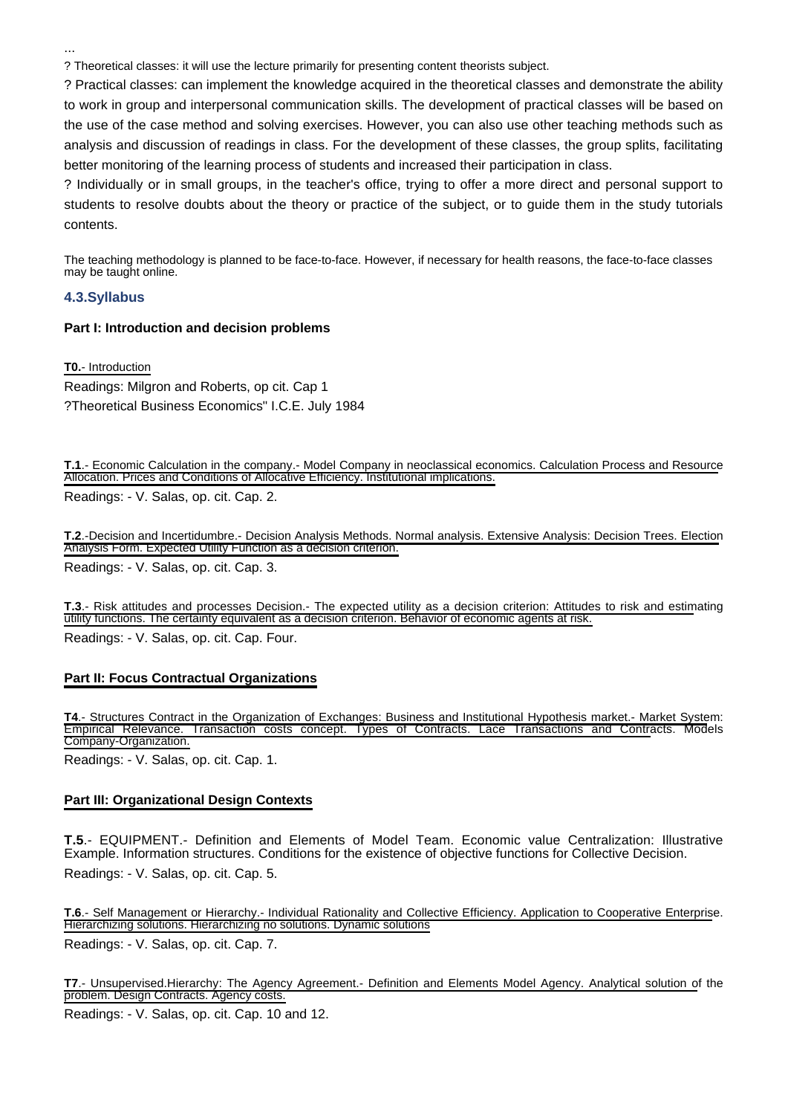...

? Theoretical classes: it will use the lecture primarily for presenting content theorists subject.

? Practical classes: can implement the knowledge acquired in the theoretical classes and demonstrate the ability to work in group and interpersonal communication skills. The development of practical classes will be based on the use of the case method and solving exercises. However, you can also use other teaching methods such as analysis and discussion of readings in class. For the development of these classes, the group splits, facilitating better monitoring of the learning process of students and increased their participation in class.

? Individually or in small groups, in the teacher's office, trying to offer a more direct and personal support to students to resolve doubts about the theory or practice of the subject, or to guide them in the study tutorials contents.

The teaching methodology is planned to be face-to-face. However, if necessary for health reasons, the face-to-face classes may be taught online.

#### **4.3.Syllabus**

#### **Part I: Introduction and decision problems**

**T0.**- Introduction

Readings: Milgron and Roberts, op cit. Cap 1 ?Theoretical Business Economics" I.C.E. July 1984

**T.1**.- Economic Calculation in the company.- Model Company in neoclassical economics. Calculation Process and Resource Allocation. Prices and Conditions of Allocative Efficiency. Institutional implications.

Readings: - V. Salas, op. cit. Cap. 2.

**T.2**.-Decision and Incertidumbre.- Decision Analysis Methods. Normal analysis. Extensive Analysis: Decision Trees. Election Analysis Form. Expected Utility Function as a decision criterion. Readings: - V. Salas, op. cit. Cap. 3.

**T.3**.- Risk attitudes and processes Decision.- The expected utility as a decision criterion: Attitudes to risk and estimating utility functions. The certainty equivalent as a decision criterion. Behavior of economic agents at risk. Readings: - V. Salas, op. cit. Cap. Four.

### **Part II: Focus Contractual Organizations**

**T4**.- Structures Contract in the Organization of Exchanges: Business and Institutional Hypothesis market.- Market System: Empirical Relevance. Transaction costs concept. Types of Contracts. Lace Transactions and Contracts. Models Company-Organization.

Readings: - V. Salas, op. cit. Cap. 1.

### **Part III: Organizational Design Contexts**

**T.5**.- EQUIPMENT.- Definition and Elements of Model Team. Economic value Centralization: Illustrative Example. Information structures. Conditions for the existence of objective functions for Collective Decision. Readings: - V. Salas, op. cit. Cap. 5.

**T.6**.- Self Management or Hierarchy.- Individual Rationality and Collective Efficiency. Application to Cooperative Enterprise. Hierarchizing solutions. Hierarchizing no solutions. Dynamic solutions

Readings: - V. Salas, op. cit. Cap. 7.

**T7**.- Unsupervised.Hierarchy: The Agency Agreement.- Definition and Elements Model Agency. Analytical solution of the problem. Design Contracts. Agency costs.

Readings: - V. Salas, op. cit. Cap. 10 and 12.